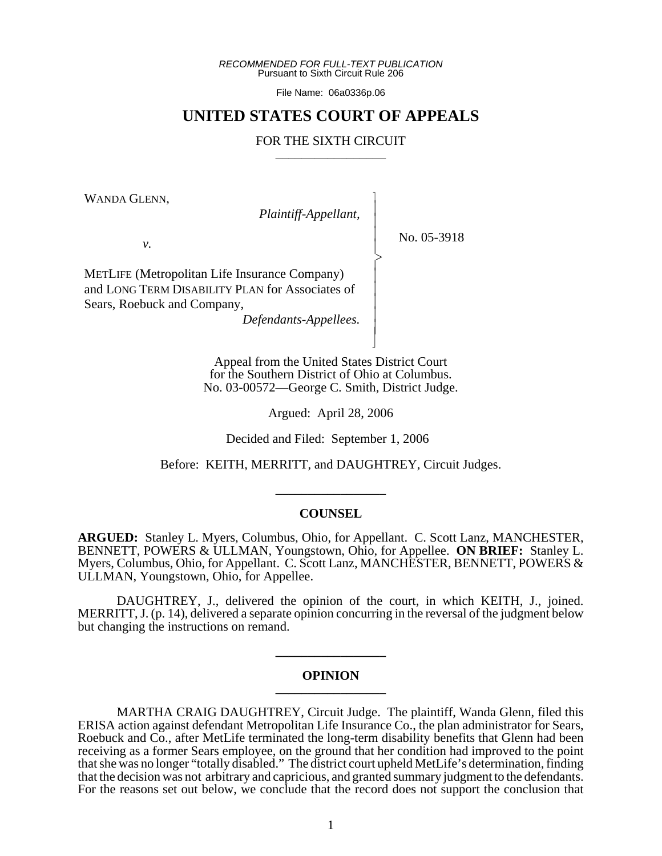*RECOMMENDED FOR FULL-TEXT PUBLICATION* Pursuant to Sixth Circuit Rule 206

File Name: 06a0336p.06

# **UNITED STATES COURT OF APPEALS**

# FOR THE SIXTH CIRCUIT

 $\overline{\phantom{a}}$ - - - -  $\succ$ |<br>|<br>| - - - - - N

WANDA GLENN,

*Plaintiff-Appellant,*

No. 05-3918

*v.*

METLIFE (Metropolitan Life Insurance Company) and LONG TERM DISABILITY PLAN for Associates of Sears, Roebuck and Company,

*Defendants-Appellees.*

Appeal from the United States District Court for the Southern District of Ohio at Columbus. No. 03-00572—George C. Smith, District Judge.

Argued: April 28, 2006

Decided and Filed: September 1, 2006

Before: KEITH, MERRITT, and DAUGHTREY, Circuit Judges.

\_\_\_\_\_\_\_\_\_\_\_\_\_\_\_\_\_

# **COUNSEL**

**ARGUED:** Stanley L. Myers, Columbus, Ohio, for Appellant. C. Scott Lanz, MANCHESTER, BENNETT, POWERS & ULLMAN, Youngstown, Ohio, for Appellee. **ON BRIEF:** Stanley L. Myers, Columbus, Ohio, for Appellant. C. Scott Lanz, MANCHESTER, BENNETT, POWERS & ULLMAN, Youngstown, Ohio, for Appellee.

DAUGHTREY, J., delivered the opinion of the court, in which KEITH, J., joined. MERRITT, J. (p. 14), delivered a separate opinion concurring in the reversal of the judgment below but changing the instructions on remand.

# **OPINION \_\_\_\_\_\_\_\_\_\_\_\_\_\_\_\_\_**

**\_\_\_\_\_\_\_\_\_\_\_\_\_\_\_\_\_**

MARTHA CRAIG DAUGHTREY, Circuit Judge. The plaintiff, Wanda Glenn, filed this ERISA action against defendant Metropolitan Life Insurance Co., the plan administrator for Sears, Roebuck and Co., after MetLife terminated the long-term disability benefits that Glenn had been receiving as a former Sears employee, on the ground that her condition had improved to the point that she was no longer "totally disabled." The district court upheld MetLife's determination, finding that the decision was not arbitrary and capricious, and granted summary judgment to the defendants. For the reasons set out below, we conclude that the record does not support the conclusion that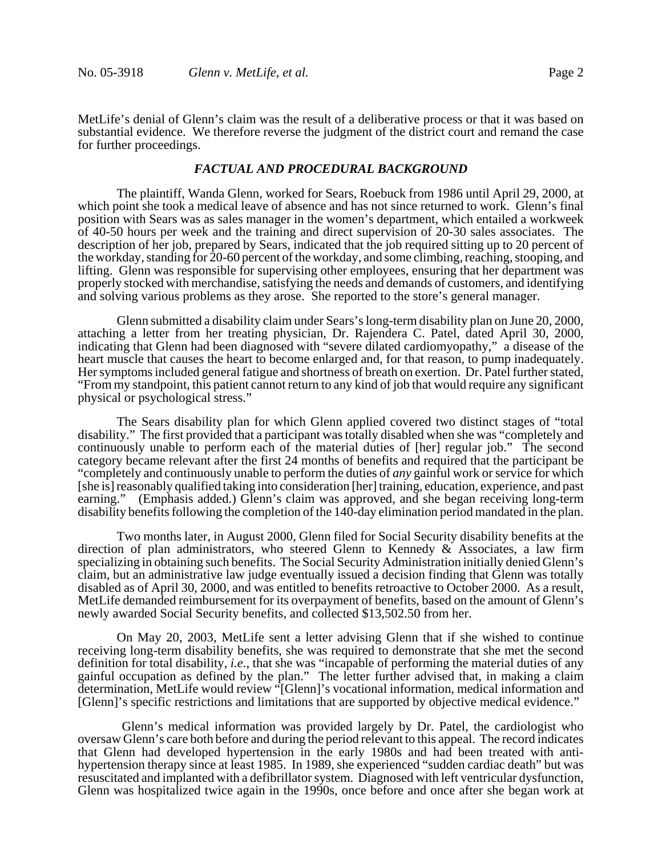MetLife's denial of Glenn's claim was the result of a deliberative process or that it was based on substantial evidence. We therefore reverse the judgment of the district court and remand the case for further proceedings.

### *FACTUAL AND PROCEDURAL BACKGROUND*

The plaintiff, Wanda Glenn, worked for Sears, Roebuck from 1986 until April 29, 2000, at which point she took a medical leave of absence and has not since returned to work. Glenn's final position with Sears was as sales manager in the women's department, which entailed a workweek of 40-50 hours per week and the training and direct supervision of 20-30 sales associates. The description of her job, prepared by Sears, indicated that the job required sitting up to 20 percent of the workday, standing for 20-60 percent of the workday, and some climbing, reaching, stooping, and lifting. Glenn was responsible for supervising other employees, ensuring that her department was properly stocked with merchandise, satisfying the needs and demands of customers, and identifying and solving various problems as they arose. She reported to the store's general manager.

Glenn submitted a disability claim under Sears's long-term disability plan on June 20, 2000, attaching a letter from her treating physician, Dr. Rajendera C. Patel, dated April 30, 2000, indicating that Glenn had been diagnosed with "severe dilated cardiomyopathy," a disease of the heart muscle that causes the heart to become enlarged and, for that reason, to pump inadequately. Her symptoms included general fatigue and shortness of breath on exertion. Dr. Patel further stated, "From my standpoint, this patient cannot return to any kind of job that would require any significant physical or psychological stress."

The Sears disability plan for which Glenn applied covered two distinct stages of "total disability." The first provided that a participant was totally disabled when she was "completely and continuously unable to perform each of the material duties of [her] regular job." The second category became relevant after the first 24 months of benefits and required that the participant be "completely and continuously unable to perform the duties of *any* gainful work or service for which [she is] reasonably qualified taking into consideration [her] training, education, experience, and past earning." (Emphasis added.) Glenn's claim was approved, and she began receiving long-term disability benefits following the completion of the 140-day elimination period mandated in the plan.

Two months later, in August 2000, Glenn filed for Social Security disability benefits at the direction of plan administrators, who steered Glenn to Kennedy & Associates, a law firm specializing in obtaining such benefits. The Social Security Administration initially denied Glenn's claim, but an administrative law judge eventually issued a decision finding that Glenn was totally disabled as of April 30, 2000, and was entitled to benefits retroactive to October 2000. As a result, MetLife demanded reimbursement for its overpayment of benefits, based on the amount of Glenn's newly awarded Social Security benefits, and collected \$13,502.50 from her.

On May 20, 2003, MetLife sent a letter advising Glenn that if she wished to continue receiving long-term disability benefits, she was required to demonstrate that she met the second definition for total disability, *i.e.*, that she was "incapable of performing the material duties of any gainful occupation as defined by the plan." The letter further advised that, in making a claim determination, MetLife would review "[Glenn]'s vocational information, medical information and [Glenn]'s specific restrictions and limitations that are supported by objective medical evidence."

 Glenn's medical information was provided largely by Dr. Patel, the cardiologist who oversaw Glenn's care both before and during the period relevant to this appeal. The record indicates that Glenn had developed hypertension in the early 1980s and had been treated with antihypertension therapy since at least 1985. In 1989, she experienced "sudden cardiac death" but was resuscitated and implanted with a defibrillator system. Diagnosed with left ventricular dysfunction, Glenn was hospitalized twice again in the 1990s, once before and once after she began work at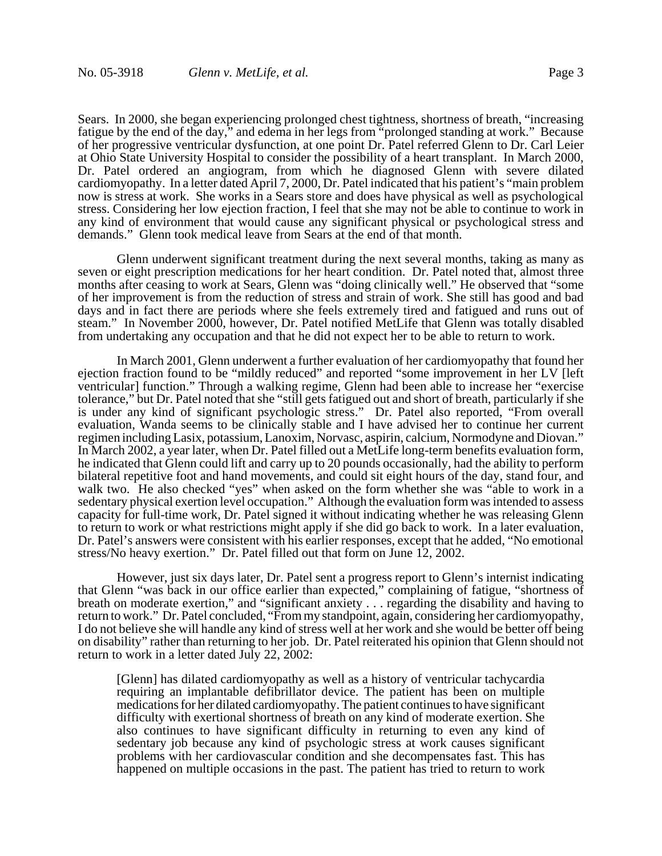Sears. In 2000, she began experiencing prolonged chest tightness, shortness of breath, "increasing fatigue by the end of the day," and edema in her legs from "prolonged standing at work." Because of her progressive ventricular dysfunction, at one point Dr. Patel referred Glenn to Dr. Carl Leier at Ohio State University Hospital to consider the possibility of a heart transplant. In March 2000, Dr. Patel ordered an angiogram, from which he diagnosed Glenn with severe dilated cardiomyopathy. In a letter dated April 7, 2000, Dr. Patel indicated that his patient's "main problem now is stress at work. She works in a Sears store and does have physical as well as psychological stress. Considering her low ejection fraction, I feel that she may not be able to continue to work in any kind of environment that would cause any significant physical or psychological stress and demands." Glenn took medical leave from Sears at the end of that month.

Glenn underwent significant treatment during the next several months, taking as many as seven or eight prescription medications for her heart condition. Dr. Patel noted that, almost three months after ceasing to work at Sears, Glenn was "doing clinically well." He observed that "some of her improvement is from the reduction of stress and strain of work. She still has good and bad days and in fact there are periods where she feels extremely tired and fatigued and runs out of steam." In November 2000, however, Dr. Patel notified MetLife that Glenn was totally disabled from undertaking any occupation and that he did not expect her to be able to return to work.

In March 2001, Glenn underwent a further evaluation of her cardiomyopathy that found her ejection fraction found to be "mildly reduced" and reported "some improvement in her LV [left ventricular] function." Through a walking regime, Glenn had been able to increase her "exercise tolerance," but Dr. Patel noted that she "still gets fatigued out and short of breath, particularly if she is under any kind of significant psychologic stress." Dr. Patel also reported, "From overall evaluation, Wanda seems to be clinically stable and I have advised her to continue her current regimen including Lasix, potassium, Lanoxim, Norvasc, aspirin, calcium, Normodyne and Diovan." In March 2002, a year later, when Dr. Patel filled out a MetLife long-term benefits evaluation form, he indicated that Glenn could lift and carry up to 20 pounds occasionally, had the ability to perform bilateral repetitive foot and hand movements, and could sit eight hours of the day, stand four, and walk two. He also checked "yes" when asked on the form whether she was "able to work in a sedentary physical exertion level occupation." Although the evaluation form was intended to assess capacity for full-time work, Dr. Patel signed it without indicating whether he was releasing Glenn to return to work or what restrictions might apply if she did go back to work. In a later evaluation, Dr. Patel's answers were consistent with his earlier responses, except that he added, "No emotional stress/No heavy exertion." Dr. Patel filled out that form on June 12, 2002.

However, just six days later, Dr. Patel sent a progress report to Glenn's internist indicating that Glenn "was back in our office earlier than expected," complaining of fatigue, "shortness of breath on moderate exertion," and "significant anxiety . . . regarding the disability and having to return to work." Dr. Patel concluded, "From my standpoint, again, considering her cardiomyopathy, I do not believe she will handle any kind of stress well at her work and she would be better off being on disability" rather than returning to her job. Dr. Patel reiterated his opinion that Glenn should not return to work in a letter dated July 22, 2002:

[Glenn] has dilated cardiomyopathy as well as a history of ventricular tachycardia requiring an implantable defibrillator device. The patient has been on multiple medications for her dilated cardiomyopathy. The patient continues to have significant difficulty with exertional shortness of breath on any kind of moderate exertion. She also continues to have significant difficulty in returning to even any kind of sedentary job because any kind of psychologic stress at work causes significant problems with her cardiovascular condition and she decompensates fast. This has happened on multiple occasions in the past. The patient has tried to return to work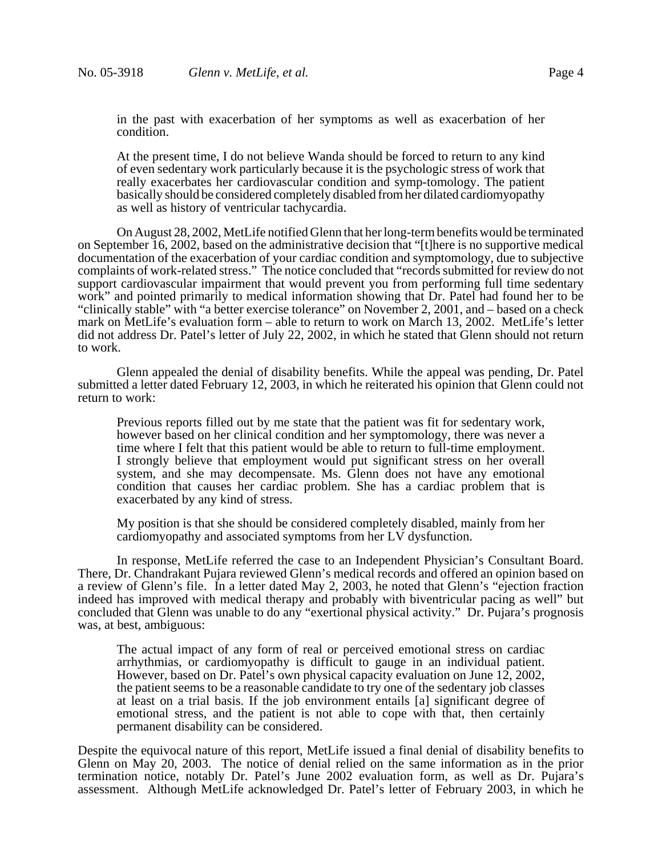in the past with exacerbation of her symptoms as well as exacerbation of her condition.

At the present time, I do not believe Wanda should be forced to return to any kind of even sedentary work particularly because it is the psychologic stress of work that really exacerbates her cardiovascular condition and symp-tomology. The patient basically should be considered completely disabled from her dilated cardiomyopathy as well as history of ventricular tachycardia.

On August 28, 2002, MetLife notified Glenn that her long-term benefits would be terminated on September 16, 2002, based on the administrative decision that "[t]here is no supportive medical documentation of the exacerbation of your cardiac condition and symptomology, due to subjective complaints of work-related stress." The notice concluded that "records submitted for review do not support cardiovascular impairment that would prevent you from performing full time sedentary work" and pointed primarily to medical information showing that Dr. Patel had found her to be "clinically stable" with "a better exercise tolerance" on November 2, 2001, and – based on a check mark on MetLife's evaluation form – able to return to work on March 13, 2002. MetLife's letter did not address Dr. Patel's letter of July 22, 2002, in which he stated that Glenn should not return to work.

Glenn appealed the denial of disability benefits. While the appeal was pending, Dr. Patel submitted a letter dated February 12, 2003, in which he reiterated his opinion that Glenn could not return to work:

Previous reports filled out by me state that the patient was fit for sedentary work, however based on her clinical condition and her symptomology, there was never a time where I felt that this patient would be able to return to full-time employment. I strongly believe that employment would put significant stress on her overall system, and she may decompensate. Ms. Glenn does not have any emotional condition that causes her cardiac problem. She has a cardiac problem that is exacerbated by any kind of stress.

My position is that she should be considered completely disabled, mainly from her cardiomyopathy and associated symptoms from her LV dysfunction.

In response, MetLife referred the case to an Independent Physician's Consultant Board. There, Dr. Chandrakant Pujara reviewed Glenn's medical records and offered an opinion based on a review of Glenn's file. In a letter dated May 2, 2003, he noted that Glenn's "ejection fraction indeed has improved with medical therapy and probably with biventricular pacing as well" but concluded that Glenn was unable to do any "exertional physical activity." Dr. Pujara's prognosis was, at best, ambiguous:

The actual impact of any form of real or perceived emotional stress on cardiac arrhythmias, or cardiomyopathy is difficult to gauge in an individual patient. However, based on Dr. Patel's own physical capacity evaluation on June 12, 2002, the patient seems to be a reasonable candidate to try one of the sedentary job classes at least on a trial basis. If the job environment entails [a] significant degree of emotional stress, and the patient is not able to cope with that, then certainly permanent disability can be considered.

Despite the equivocal nature of this report, MetLife issued a final denial of disability benefits to Glenn on May 20, 2003. The notice of denial relied on the same information as in the prior termination notice, notably Dr. Patel's June 2002 evaluation form, as well as Dr. Pujara's assessment. Although MetLife acknowledged Dr. Patel's letter of February 2003, in which he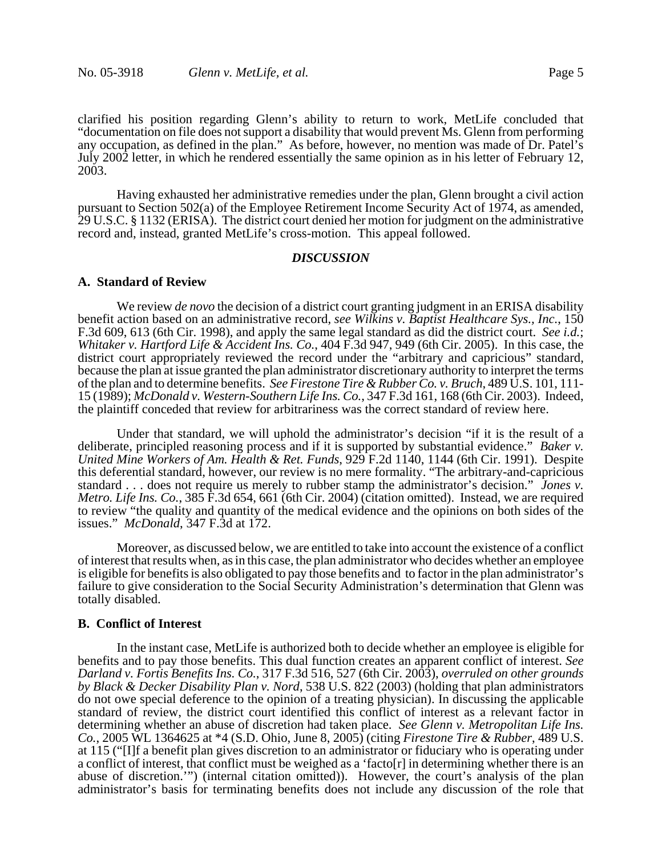clarified his position regarding Glenn's ability to return to work, MetLife concluded that "documentation on file does not support a disability that would prevent Ms. Glenn from performing any occupation, as defined in the plan." As before, however, no mention was made of Dr. Patel's July 2002 letter, in which he rendered essentially the same opinion as in his letter of February 12, 2003.

Having exhausted her administrative remedies under the plan, Glenn brought a civil action pursuant to Section 502(a) of the Employee Retirement Income Security Act of 1974, as amended, 29 U.S.C. § 1132 (ERISA). The district court denied her motion for judgment on the administrative record and, instead, granted MetLife's cross-motion. This appeal followed.

# *DISCUSSION*

### **A. Standard of Review**

We review *de novo* the decision of a district court granting judgment in an ERISA disability benefit action based on an administrative record, *see Wilkins v. Baptist Healthcare Sys., Inc.*, 150 F.3d 609, 613 (6th Cir. 1998), and apply the same legal standard as did the district court. *See i.d.*; *Whitaker v. Hartford Life & Accident Ins. Co.*, 404 F.3d 947, 949 (6th Cir. 2005). In this case, the district court appropriately reviewed the record under the "arbitrary and capricious" standard, because the plan at issue granted the plan administrator discretionary authority to interpret the terms of the plan and to determine benefits. *See Firestone Tire & Rubber Co. v. Bruch*, 489 U.S. 101, 111- 15 (1989); *McDonald v. Western-Southern Life Ins. Co.*, 347 F.3d 161, 168 (6th Cir. 2003). Indeed, the plaintiff conceded that review for arbitrariness was the correct standard of review here.

Under that standard, we will uphold the administrator's decision "if it is the result of a deliberate, principled reasoning process and if it is supported by substantial evidence." *Baker v. United Mine Workers of Am. Health & Ret. Funds*, 929 F.2d 1140, 1144 (6th Cir. 1991). Despite this deferential standard, however, our review is no mere formality. "The arbitrary-and-capricious standard . . . does not require us merely to rubber stamp the administrator's decision." *Jones v. Metro. Life Ins. Co.*, 385 F.3d 654, 661 (6th Cir. 2004) (citation omitted). Instead, we are required to review "the quality and quantity of the medical evidence and the opinions on both sides of the issues." *McDonald*, 347 F.3d at 172.

Moreover, as discussed below, we are entitled to take into account the existence of a conflict of interest that results when, as in this case, the plan administrator who decides whether an employee is eligible for benefits is also obligated to pay those benefits and to factor in the plan administrator's failure to give consideration to the Social Security Administration's determination that Glenn was totally disabled.

# **B. Conflict of Interest**

In the instant case, MetLife is authorized both to decide whether an employee is eligible for benefits and to pay those benefits. This dual function creates an apparent conflict of interest. *See Darland v. Fortis Benefits Ins. Co.*, 317 F.3d 516, 527 (6th Cir. 2003), *overruled on other grounds by Black & Decker Disability Plan v. Nord*, 538 U.S. 822 (2003) (holding that plan administrators do not owe special deference to the opinion of a treating physician). In discussing the applicable standard of review, the district court identified this conflict of interest as a relevant factor in determining whether an abuse of discretion had taken place. *See Glenn v. Metropolitan Life Ins. Co.*, 2005 WL 1364625 at \*4 (S.D. Ohio, June 8, 2005) (citing *Firestone Tire & Rubber*, 489 U.S. at 115 ("[I]f a benefit plan gives discretion to an administrator or fiduciary who is operating under a conflict of interest, that conflict must be weighed as a 'facto[ $r$ ] in determining whether there is an abuse of discretion.'") (internal citation omitted)). However, the court's analysis of the plan administrator's basis for terminating benefits does not include any discussion of the role that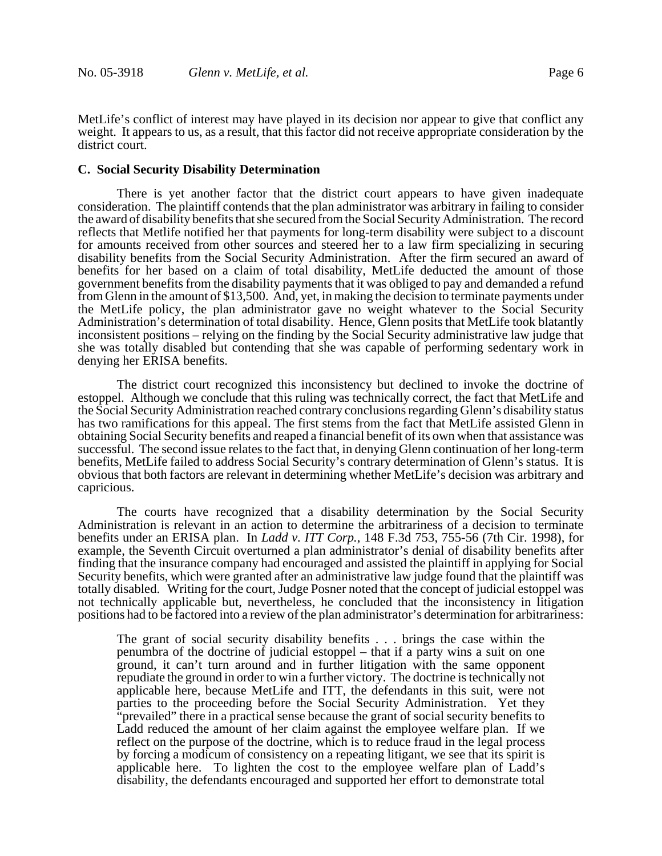MetLife's conflict of interest may have played in its decision nor appear to give that conflict any weight. It appears to us, as a result, that this factor did not receive appropriate consideration by the district court.

#### **C. Social Security Disability Determination**

There is yet another factor that the district court appears to have given inadequate consideration. The plaintiff contends that the plan administrator was arbitrary in failing to consider the award of disability benefits that she secured from the Social Security Administration. The record reflects that Metlife notified her that payments for long-term disability were subject to a discount for amounts received from other sources and steered her to a law firm specializing in securing disability benefits from the Social Security Administration. After the firm secured an award of benefits for her based on a claim of total disability, MetLife deducted the amount of those government benefits from the disability payments that it was obliged to pay and demanded a refund from Glenn in the amount of \$13,500. And, yet, in making the decision to terminate payments under the MetLife policy, the plan administrator gave no weight whatever to the Social Security Administration's determination of total disability. Hence, Glenn posits that MetLife took blatantly inconsistent positions – relying on the finding by the Social Security administrative law judge that she was totally disabled but contending that she was capable of performing sedentary work in denying her ERISA benefits.

The district court recognized this inconsistency but declined to invoke the doctrine of estoppel. Although we conclude that this ruling was technically correct, the fact that MetLife and the Social Security Administration reached contrary conclusions regarding Glenn's disability status has two ramifications for this appeal. The first stems from the fact that MetLife assisted Glenn in obtaining Social Security benefits and reaped a financial benefit of its own when that assistance was successful. The second issue relates to the fact that, in denying Glenn continuation of her long-term benefits, MetLife failed to address Social Security's contrary determination of Glenn's status. It is obvious that both factors are relevant in determining whether MetLife's decision was arbitrary and capricious.

The courts have recognized that a disability determination by the Social Security Administration is relevant in an action to determine the arbitrariness of a decision to terminate benefits under an ERISA plan. In *Ladd v. ITT Corp.*, 148 F.3d 753, 755-56 (7th Cir. 1998), for example, the Seventh Circuit overturned a plan administrator's denial of disability benefits after finding that the insurance company had encouraged and assisted the plaintiff in applying for Social Security benefits, which were granted after an administrative law judge found that the plaintiff was totally disabled. Writing for the court, Judge Posner noted that the concept of judicial estoppel was not technically applicable but, nevertheless, he concluded that the inconsistency in litigation positions had to be factored into a review of the plan administrator's determination for arbitrariness:

The grant of social security disability benefits . . . brings the case within the penumbra of the doctrine of judicial estoppel – that if a party wins a suit on one ground, it can't turn around and in further litigation with the same opponent repudiate the ground in order to win a further victory. The doctrine is technically not applicable here, because MetLife and ITT, the defendants in this suit, were not parties to the proceeding before the Social Security Administration. Yet they "prevailed" there in a practical sense because the grant of social security benefits to Ladd reduced the amount of her claim against the employee welfare plan. If we reflect on the purpose of the doctrine, which is to reduce fraud in the legal process by forcing a modicum of consistency on a repeating litigant, we see that its spirit is applicable here. To lighten the cost to the employee welfare plan of Ladd's disability, the defendants encouraged and supported her effort to demonstrate total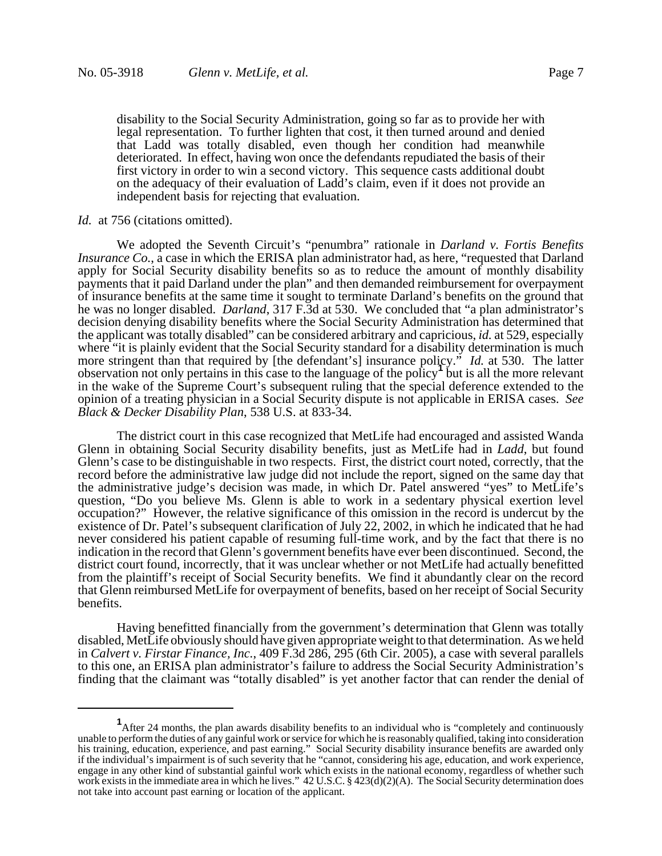disability to the Social Security Administration, going so far as to provide her with legal representation. To further lighten that cost, it then turned around and denied that Ladd was totally disabled, even though her condition had meanwhile deteriorated. In effect, having won once the defendants repudiated the basis of their first victory in order to win a second victory. This sequence casts additional doubt on the adequacy of their evaluation of Ladd's claim, even if it does not provide an independent basis for rejecting that evaluation.

# *Id.* at 756 (citations omitted).

We adopted the Seventh Circuit's "penumbra" rationale in *Darland v. Fortis Benefits Insurance Co.*, a case in which the ERISA plan administrator had, as here, "requested that Darland apply for Social Security disability benefits so as to reduce the amount of monthly disability payments that it paid Darland under the plan" and then demanded reimbursement for overpayment of insurance benefits at the same time it sought to terminate Darland's benefits on the ground that he was no longer disabled. *Darland*, 317 F.3d at 530. We concluded that "a plan administrator's decision denying disability benefits where the Social Security Administration has determined that the applicant was totally disabled" can be considered arbitrary and capricious, *id.* at 529, especially where "it is plainly evident that the Social Security standard for a disability determination is much more stringent than that required by [the defendant's] insurance policy." *Id.* at 530. The latter  $\frac{1}{2}$  observation not only pertains in this case to the language of the policy<sup>1</sup> but is all the more relevant in the wake of the Supreme Court's subsequent ruling that the special deference extended to the opinion of a treating physician in a Social Security dispute is not applicable in ERISA cases. *See Black & Decker Disability Plan*, 538 U.S. at 833-34.

The district court in this case recognized that MetLife had encouraged and assisted Wanda Glenn in obtaining Social Security disability benefits, just as MetLife had in *Ladd*, but found Glenn's case to be distinguishable in two respects. First, the district court noted, correctly, that the record before the administrative law judge did not include the report, signed on the same day that the administrative judge's decision was made, in which Dr. Patel answered "yes" to MetLife's question, "Do you believe Ms. Glenn is able to work in a sedentary physical exertion level occupation?" However, the relative significance of this omission in the record is undercut by the existence of Dr. Patel's subsequent clarification of July 22, 2002, in which he indicated that he had never considered his patient capable of resuming full-time work, and by the fact that there is no indication in the record that Glenn's government benefits have ever been discontinued. Second, the district court found, incorrectly, that it was unclear whether or not MetLife had actually benefitted from the plaintiff's receipt of Social Security benefits. We find it abundantly clear on the record that Glenn reimbursed MetLife for overpayment of benefits, based on her receipt of Social Security benefits.

Having benefitted financially from the government's determination that Glenn was totally disabled, MetLife obviously should have given appropriate weight to that determination. As we held in *Calvert v. Firstar Finance, Inc.*, 409 F.3d 286, 295 (6th Cir. 2005), a case with several parallels to this one, an ERISA plan administrator's failure to address the Social Security Administration's finding that the claimant was "totally disabled" is yet another factor that can render the denial of

<sup>&</sup>lt;sup>1</sup> After 24 months, the plan awards disability benefits to an individual who is "completely and continuously unable to perform the duties of any gainful work or service for which he is reasonably qualified, taking into consideration his training, education, experience, and past earning." Social Security disability insurance benefits are awarded only if the individual's impairment is of such severity that he "cannot, considering his age, education, and work experience, engage in any other kind of substantial gainful work which exists in the national economy, regardless of whether such work exists in the immediate area in which he lives." 42 U.S.C. § 423(d)(2)(A). The Social Security determination does not take into account past earning or location of the applicant.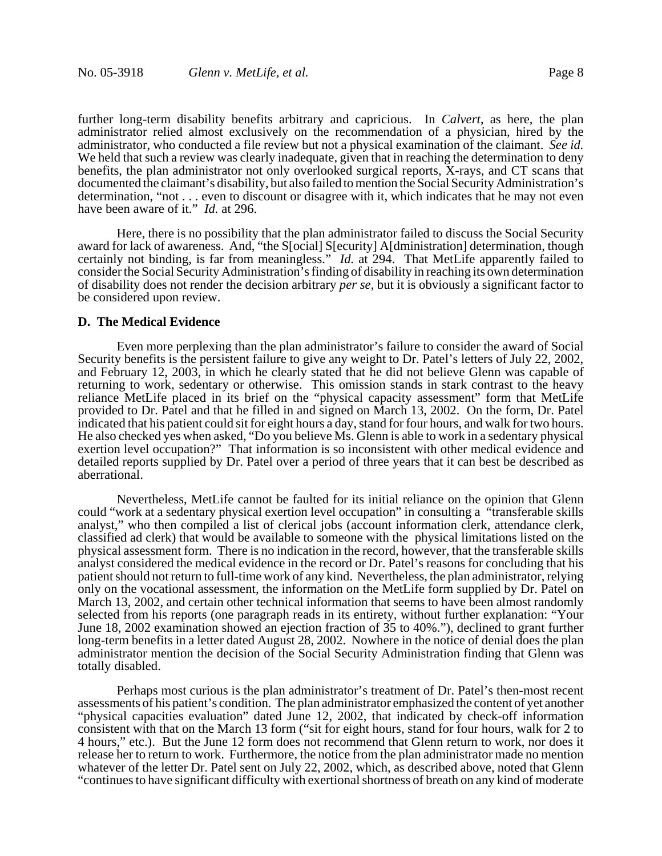further long-term disability benefits arbitrary and capricious. In *Calvert*, as here, the plan administrator relied almost exclusively on the recommendation of a physician, hired by the administrator, who conducted a file review but not a physical examination of the claimant. *See id.* We held that such a review was clearly inadequate, given that in reaching the determination to deny benefits, the plan administrator not only overlooked surgical reports, X-rays, and CT scans that documented the claimant's disability, but also failed to mention the Social Security Administration's determination, "not . . . even to discount or disagree with it, which indicates that he may not even have been aware of it." *Id.* at 296.

Here, there is no possibility that the plan administrator failed to discuss the Social Security award for lack of awareness. And, "the S[ocial] S[ecurity] A[dministration] determination, though certainly not binding, is far from meaningless." *Id.* at 294. That MetLife apparently failed to consider the Social Security Administration's finding of disability in reaching its own determination of disability does not render the decision arbitrary *per se*, but it is obviously a significant factor to be considered upon review.

#### **D. The Medical Evidence**

Even more perplexing than the plan administrator's failure to consider the award of Social Security benefits is the persistent failure to give any weight to Dr. Patel's letters of July 22, 2002, and February 12, 2003, in which he clearly stated that he did not believe Glenn was capable of returning to work, sedentary or otherwise. This omission stands in stark contrast to the heavy reliance MetLife placed in its brief on the "physical capacity assessment" form that MetLife provided to Dr. Patel and that he filled in and signed on March 13, 2002. On the form, Dr. Patel indicated that his patient could sit for eight hours a day, stand for four hours, and walk for two hours. He also checked yes when asked, "Do you believe Ms. Glenn is able to work in a sedentary physical exertion level occupation?" That information is so inconsistent with other medical evidence and detailed reports supplied by Dr. Patel over a period of three years that it can best be described as aberrational.

Nevertheless, MetLife cannot be faulted for its initial reliance on the opinion that Glenn could "work at a sedentary physical exertion level occupation" in consulting a "transferable skills analyst," who then compiled a list of clerical jobs (account information clerk, attendance clerk, classified ad clerk) that would be available to someone with the physical limitations listed on the physical assessment form. There is no indication in the record, however, that the transferable skills analyst considered the medical evidence in the record or Dr. Patel's reasons for concluding that his patient should not return to full-time work of any kind. Nevertheless, the plan administrator, relying only on the vocational assessment, the information on the MetLife form supplied by Dr. Patel on March 13, 2002, and certain other technical information that seems to have been almost randomly selected from his reports (one paragraph reads in its entirety, without further explanation: "Your June 18, 2002 examination showed an ejection fraction of 35 to 40%."), declined to grant further long-term benefits in a letter dated August 28, 2002. Nowhere in the notice of denial does the plan administrator mention the decision of the Social Security Administration finding that Glenn was totally disabled.

Perhaps most curious is the plan administrator's treatment of Dr. Patel's then-most recent assessments of his patient's condition. The plan administrator emphasized the content of yet another "physical capacities evaluation" dated June 12, 2002, that indicated by check-off information consistent with that on the March 13 form ("sit for eight hours, stand for four hours, walk for 2 to 4 hours," etc.). But the June 12 form does not recommend that Glenn return to work, nor does it release her to return to work. Furthermore, the notice from the plan administrator made no mention whatever of the letter Dr. Patel sent on July 22, 2002, which, as described above, noted that Glenn "continues to have significant difficulty with exertional shortness of breath on any kind of moderate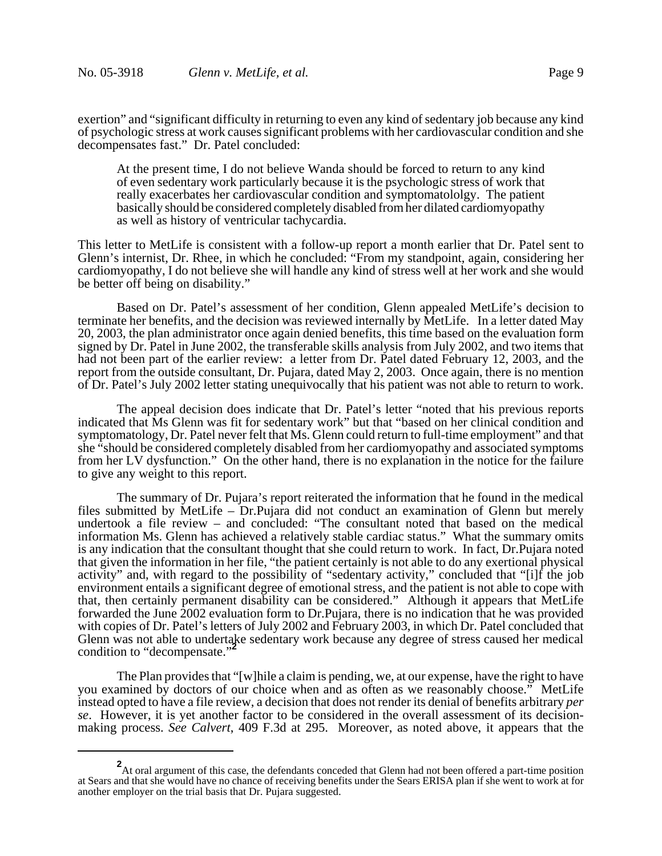exertion" and "significant difficulty in returning to even any kind of sedentary job because any kind of psychologic stress at work causes significant problems with her cardiovascular condition and she decompensates fast." Dr. Patel concluded:

At the present time, I do not believe Wanda should be forced to return to any kind of even sedentary work particularly because it is the psychologic stress of work that really exacerbates her cardiovascular condition and symptomatololgy. The patient basically should be considered completely disabled from her dilated cardiomyopathy as well as history of ventricular tachycardia.

This letter to MetLife is consistent with a follow-up report a month earlier that Dr. Patel sent to Glenn's internist, Dr. Rhee, in which he concluded: "From my standpoint, again, considering her cardiomyopathy, I do not believe she will handle any kind of stress well at her work and she would be better off being on disability."

Based on Dr. Patel's assessment of her condition, Glenn appealed MetLife's decision to terminate her benefits, and the decision was reviewed internally by MetLife. In a letter dated May 20, 2003, the plan administrator once again denied benefits, this time based on the evaluation form signed by Dr. Patel in June 2002, the transferable skills analysis from July 2002, and two items that had not been part of the earlier review: a letter from Dr. Patel dated February 12, 2003, and the report from the outside consultant, Dr. Pujara, dated May 2, 2003. Once again, there is no mention of Dr. Patel's July 2002 letter stating unequivocally that his patient was not able to return to work.

The appeal decision does indicate that Dr. Patel's letter "noted that his previous reports indicated that Ms Glenn was fit for sedentary work" but that "based on her clinical condition and symptomatology, Dr. Patel never felt that Ms. Glenn could return to full-time employment" and that she "should be considered completely disabled from her cardiomyopathy and associated symptoms from her LV dysfunction." On the other hand, there is no explanation in the notice for the failure to give any weight to this report.

The summary of Dr. Pujara's report reiterated the information that he found in the medical files submitted by MetLife – Dr.Pujara did not conduct an examination of Glenn but merely undertook a file review – and concluded: "The consultant noted that based on the medical information Ms. Glenn has achieved a relatively stable cardiac status." What the summary omits is any indication that the consultant thought that she could return to work. In fact, Dr.Pujara noted that given the information in her file, "the patient certainly is not able to do any exertional physical activity" and, with regard to the possibility of "sedentary activity," concluded that "[i]f the job environment entails a significant degree of emotional stress, and the patient is not able to cope with that, then certainly permanent disability can be considered." Although it appears that MetLife forwarded the June 2002 evaluation form to Dr.Pujara, there is no indication that he was provided with copies of Dr. Patel's letters of July 2002 and February 2003, in which Dr. Patel concluded that Glenn was not able to undertake sedentary work because any degree of stress caused her medical condition to "decompensate."

The Plan provides that "[w]hile a claim is pending, we, at our expense, have the right to have you examined by doctors of our choice when and as often as we reasonably choose." MetLife instead opted to have a file review, a decision that does not render its denial of benefits arbitrary *per se*. However, it is yet another factor to be considered in the overall assessment of its decisionmaking process. *See Calvert*, 409 F.3d at 295. Moreover, as noted above, it appears that the

<sup>&</sup>lt;sup>2</sup>At oral argument of this case, the defendants conceded that Glenn had not been offered a part-time position at Sears and that she would have no chance of receiving benefits under the Sears ERISA plan if she went to work at for another employer on the trial basis that Dr. Pujara suggested.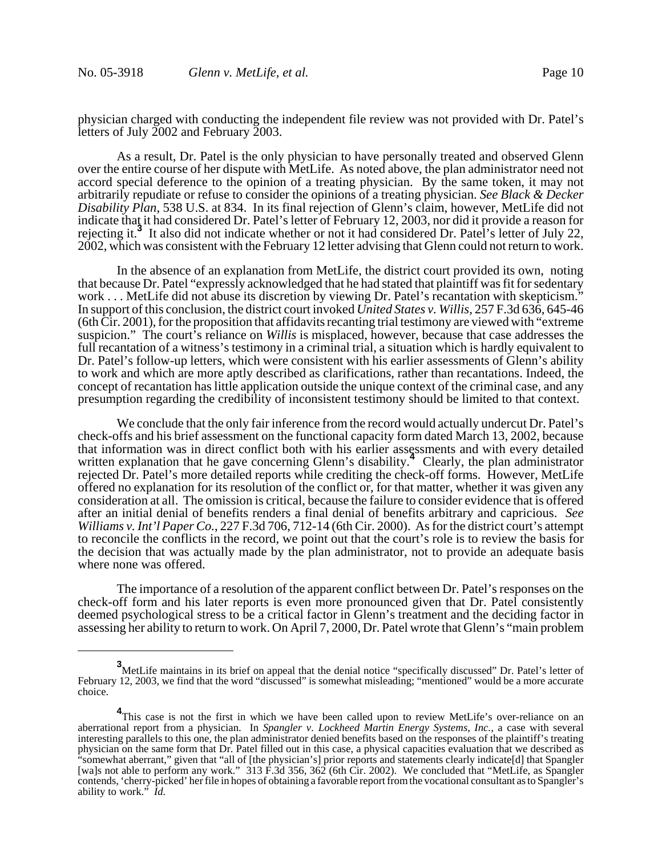physician charged with conducting the independent file review was not provided with Dr. Patel's letters of July 2002 and February 2003.

As a result, Dr. Patel is the only physician to have personally treated and observed Glenn over the entire course of her dispute with MetLife. As noted above, the plan administrator need not accord special deference to the opinion of a treating physician. By the same token, it may not arbitrarily repudiate or refuse to consider the opinions of a treating physician. *See Black & Decker Disability Plan*, 538 U.S. at 834. In its final rejection of Glenn's claim, however, MetLife did not indicate that it had considered Dr. Patel's letter of February 12, 2003, nor did it provide a reason for rejecting it.**<sup>3</sup>** It also did not indicate whether or not it had considered Dr. Patel's letter of July 22, 2002, which was consistent with the February 12 letter advising that Glenn could not return to work.

In the absence of an explanation from MetLife, the district court provided its own, noting that because Dr. Patel "expressly acknowledged that he had stated that plaintiff was fit for sedentary work . . . MetLife did not abuse its discretion by viewing Dr. Patel's recantation with skepticism.<sup>3</sup> In support of this conclusion, the district court invoked *United States v. Willis*, 257 F.3d 636, 645-46 (6th Cir. 2001), for the proposition that affidavits recanting trial testimony are viewed with "extreme suspicion." The court's reliance on *Willis* is misplaced, however, because that case addresses the full recantation of a witness's testimony in a criminal trial, a situation which is hardly equivalent to Dr. Patel's follow-up letters, which were consistent with his earlier assessments of Glenn's ability to work and which are more aptly described as clarifications, rather than recantations. Indeed, the concept of recantation has little application outside the unique context of the criminal case, and any presumption regarding the credibility of inconsistent testimony should be limited to that context.

We conclude that the only fair inference from the record would actually undercut Dr. Patel's check-offs and his brief assessment on the functional capacity form dated March 13, 2002, because that information was in direct conflict both with his earlier assessments and with every detailed written explanation that he gave concerning Glenn's disability.<sup>4</sup> Clearly, the plan administrator rejected Dr. Patel's more detailed reports while crediting the check-off forms. However, MetLife offered no explanation for its resolution of the conflict or, for that matter, whether it was given any consideration at all. The omission is critical, because the failure to consider evidence that is offered after an initial denial of benefits renders a final denial of benefits arbitrary and capricious. *See Williams v. Int'l Paper Co.*, 227 F.3d 706, 712-14 (6th Cir. 2000). As for the district court's attempt to reconcile the conflicts in the record, we point out that the court's role is to review the basis for the decision that was actually made by the plan administrator, not to provide an adequate basis where none was offered.

The importance of a resolution of the apparent conflict between Dr. Patel's responses on the check-off form and his later reports is even more pronounced given that Dr. Patel consistently deemed psychological stress to be a critical factor in Glenn's treatment and the deciding factor in assessing her ability to return to work. On April 7, 2000, Dr. Patel wrote that Glenn's "main problem

**<sup>3</sup>** MetLife maintains in its brief on appeal that the denial notice "specifically discussed" Dr. Patel's letter of February 12, 2003, we find that the word "discussed" is somewhat misleading; "mentioned" would be a more accurate choice.

<sup>&</sup>lt;sup>4</sup>This case is not the first in which we have been called upon to review MetLife's over-reliance on an aberrational report from a physician. In *Spangler v. Lockheed Martin Energy Systems, Inc.*, a case with several interesting parallels to this one, the plan administrator denied benefits based on the responses of the plaintiff's treating physician on the same form that Dr. Patel filled out in this case, a physical capacities evaluation that we described as "somewhat aberrant," given that "all of [the physician's] prior reports and statements clearly indicate[d] that Spangler [wa]s not able to perform any work." 313 F.3d 356, 362 (6th Cir. 2002). We concluded that "MetLife, as Spangler contends, 'cherry-picked' her file in hopes of obtaining a favorable report from the vocational consultant as to Spangler's ability to work." *Id.*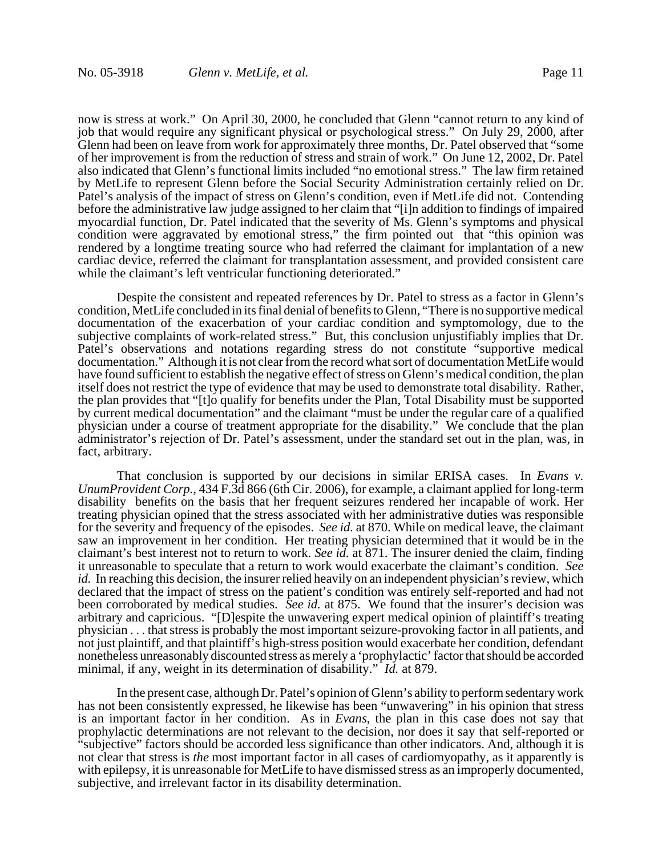now is stress at work." On April 30, 2000, he concluded that Glenn "cannot return to any kind of job that would require any significant physical or psychological stress." On July 29, 2000, after Glenn had been on leave from work for approximately three months, Dr. Patel observed that "some of her improvement is from the reduction of stress and strain of work." On June 12, 2002, Dr. Patel also indicated that Glenn's functional limits included "no emotional stress." The law firm retained by MetLife to represent Glenn before the Social Security Administration certainly relied on Dr. Patel's analysis of the impact of stress on Glenn's condition, even if MetLife did not. Contending before the administrative law judge assigned to her claim that "[i]n addition to findings of impaired myocardial function, Dr. Patel indicated that the severity of Ms. Glenn's symptoms and physical condition were aggravated by emotional stress," the firm pointed out that "this opinion was rendered by a longtime treating source who had referred the claimant for implantation of a new cardiac device, referred the claimant for transplantation assessment, and provided consistent care while the claimant's left ventricular functioning deteriorated."

Despite the consistent and repeated references by Dr. Patel to stress as a factor in Glenn's condition, MetLife concluded in its final denial of benefits to Glenn, "There is no supportive medical documentation of the exacerbation of your cardiac condition and symptomology, due to the subjective complaints of work-related stress." But, this conclusion unjustifiably implies that Dr. Patel's observations and notations regarding stress do not constitute "supportive medical documentation." Although it is not clear from the record what sort of documentation MetLife would have found sufficient to establish the negative effect of stress on Glenn's medical condition, the plan itself does not restrict the type of evidence that may be used to demonstrate total disability. Rather, the plan provides that "[t]o qualify for benefits under the Plan, Total Disability must be supported by current medical documentation" and the claimant "must be under the regular care of a qualified physician under a course of treatment appropriate for the disability." We conclude that the plan administrator's rejection of Dr. Patel's assessment, under the standard set out in the plan, was, in fact, arbitrary.

That conclusion is supported by our decisions in similar ERISA cases. In *Evans v. UnumProvident Corp.*, 434 F.3d 866 (6th Cir. 2006), for example, a claimant applied for long-term disability benefits on the basis that her frequent seizures rendered her incapable of work. Her treating physician opined that the stress associated with her administrative duties was responsible for the severity and frequency of the episodes. *See id.* at 870. While on medical leave, the claimant saw an improvement in her condition. Her treating physician determined that it would be in the claimant's best interest not to return to work. *See id.* at 871. The insurer denied the claim, finding it unreasonable to speculate that a return to work would exacerbate the claimant's condition. *See id.* In reaching this decision, the insurer relied heavily on an independent physician's review, which declared that the impact of stress on the patient's condition was entirely self-reported and had not been corroborated by medical studies. *See id.* at 875. We found that the insurer's decision was arbitrary and capricious. "[D]espite the unwavering expert medical opinion of plaintiff's treating physician . . . that stress is probably the most important seizure-provoking factor in all patients, and not just plaintiff, and that plaintiff's high-stress position would exacerbate her condition, defendant nonetheless unreasonably discounted stress as merely a 'prophylactic' factor that should be accorded minimal, if any, weight in its determination of disability." *Id.* at 879.

In the present case, although Dr. Patel's opinion of Glenn's ability to perform sedentary work has not been consistently expressed, he likewise has been "unwavering" in his opinion that stress is an important factor in her condition. As in *Evans*, the plan in this case does not say that prophylactic determinations are not relevant to the decision, nor does it say that self-reported or "subjective" factors should be accorded less significance than other indicators. And, although it is not clear that stress is *the* most important factor in all cases of cardiomyopathy, as it apparently is with epilepsy, it is unreasonable for MetLife to have dismissed stress as an improperly documented, subjective, and irrelevant factor in its disability determination.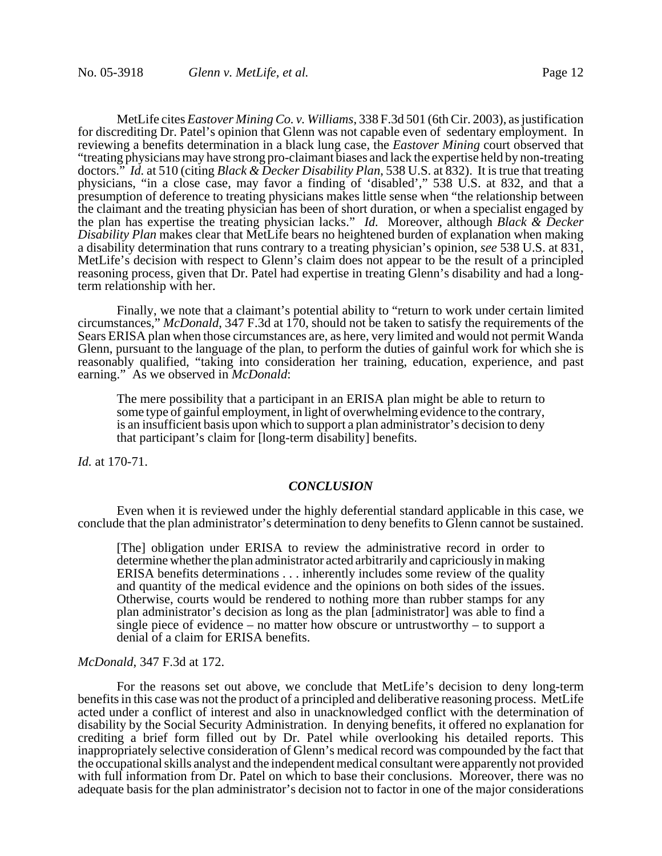MetLife cites *Eastover Mining Co. v. Williams*, 338 F.3d 501 (6th Cir. 2003), as justification for discrediting Dr. Patel's opinion that Glenn was not capable even of sedentary employment. In reviewing a benefits determination in a black lung case, the *Eastover Mining* court observed that "treating physicians may have strong pro-claimant biases and lack the expertise held by non-treating doctors." *Id.* at 510 (citing *Black & Decker Disability Plan*, 538 U.S. at 832). It is true that treating physicians, "in a close case, may favor a finding of 'disabled'," 538 U.S. at 832, and that a presumption of deference to treating physicians makes little sense when "the relationship between the claimant and the treating physician has been of short duration, or when a specialist engaged by the plan has expertise the treating physician lacks." *Id.* Moreover, although *Black & Decker Disability Plan* makes clear that MetLife bears no heightened burden of explanation when making a disability determination that runs contrary to a treating physician's opinion, *see* 538 U.S. at 831, MetLife's decision with respect to Glenn's claim does not appear to be the result of a principled reasoning process, given that Dr. Patel had expertise in treating Glenn's disability and had a longterm relationship with her.

Finally, we note that a claimant's potential ability to "return to work under certain limited circumstances," *McDonald*, 347 F.3d at 170, should not be taken to satisfy the requirements of the Sears ERISA plan when those circumstances are, as here, very limited and would not permit Wanda Glenn, pursuant to the language of the plan, to perform the duties of gainful work for which she is reasonably qualified, "taking into consideration her training, education, experience, and past earning." As we observed in *McDonald*:

The mere possibility that a participant in an ERISA plan might be able to return to some type of gainful employment, in light of overwhelming evidence to the contrary, is an insufficient basis upon which to support a plan administrator's decision to deny that participant's claim for [long-term disability] benefits.

*Id.* at 170-71.

#### *CONCLUSION*

Even when it is reviewed under the highly deferential standard applicable in this case, we conclude that the plan administrator's determination to deny benefits to Glenn cannot be sustained.

[The] obligation under ERISA to review the administrative record in order to determine whether the plan administrator acted arbitrarily and capriciously in making ERISA benefits determinations . . . inherently includes some review of the quality and quantity of the medical evidence and the opinions on both sides of the issues. Otherwise, courts would be rendered to nothing more than rubber stamps for any plan administrator's decision as long as the plan [administrator] was able to find a single piece of evidence – no matter how obscure or untrustworthy – to support a denial of a claim for ERISA benefits.

# *McDonald*, 347 F.3d at 172.

For the reasons set out above, we conclude that MetLife's decision to deny long-term benefits in this case was not the product of a principled and deliberative reasoning process. MetLife acted under a conflict of interest and also in unacknowledged conflict with the determination of disability by the Social Security Administration. In denying benefits, it offered no explanation for crediting a brief form filled out by Dr. Patel while overlooking his detailed reports. This inappropriately selective consideration of Glenn's medical record was compounded by the fact that the occupational skills analyst and the independent medical consultant were apparently not provided with full information from Dr. Patel on which to base their conclusions. Moreover, there was no adequate basis for the plan administrator's decision not to factor in one of the major considerations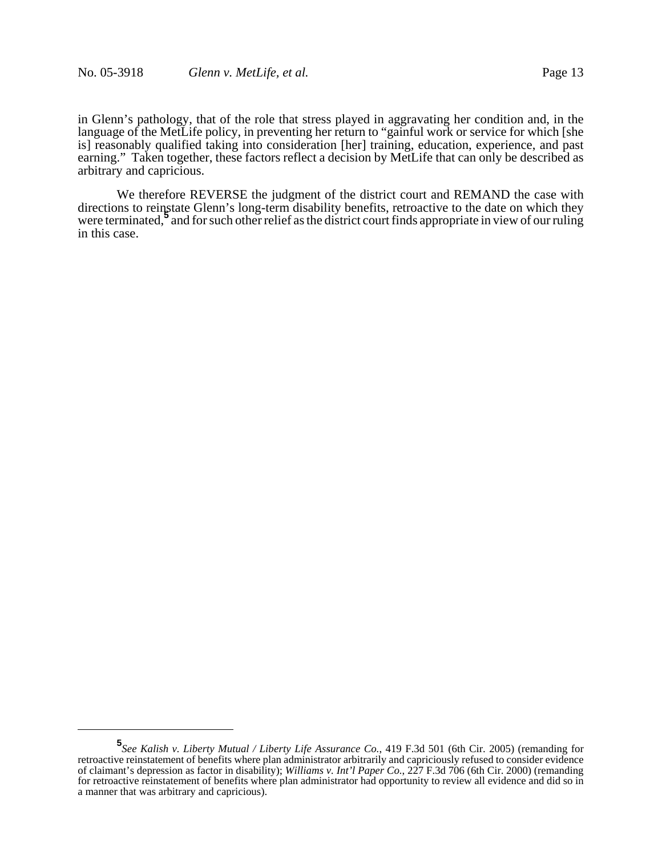in Glenn's pathology, that of the role that stress played in aggravating her condition and, in the language of the MetLife policy, in preventing her return to "gainful work or service for which [she is] reasonably qualified taking into consideration [her] training, education, experience, and past earning." Taken together, these factors reflect a decision by MetLife that can only be described as arbitrary and capricious.

We therefore REVERSE the judgment of the district court and REMAND the case with directions to reinstate Glenn's long-term disability benefits, retroactive to the date on which they and the district of the state of the state of the district court finds appropriate in view of our ruling were terminated,<sup>5</sup> and for such other relief as the district court finds appropriate in view of our ruling in this case.

**<sup>5</sup>** *See Kalish v. Liberty Mutual / Liberty Life Assurance Co.*, 419 F.3d 501 (6th Cir. 2005) (remanding for retroactive reinstatement of benefits where plan administrator arbitrarily and capriciously refused to consider evidence of claimant's depression as factor in disability); *Williams v. Int'l Paper Co.*, 227 F.3d 706 (6th Cir. 2000) (remanding for retroactive reinstatement of benefits where plan administrator had opportunity to review all evidence and did so in a manner that was arbitrary and capricious).